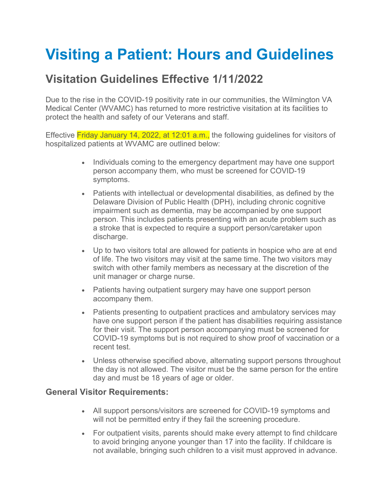# **Visiting a Patient: Hours and Guidelines**

# **Visitation Guidelines Effective 1/11/2022**

Due to the rise in the COVID-19 positivity rate in our communities, the Wilmington VA Medical Center (WVAMC) has returned to more restrictive visitation at its facilities to protect the health and safety of our Veterans and staff.

Effective Friday January 14, 2022, at 12:01 a.m., the following guidelines for visitors of hospitalized patients at WVAMC are outlined below:

- Individuals coming to the emergency department may have one support person accompany them, who must be screened for COVID-19 symptoms.
- Patients with intellectual or developmental disabilities, as defined by the Delaware Division of Public Health (DPH), including chronic cognitive impairment such as dementia, may be accompanied by one support person. This includes patients presenting with an acute problem such as a stroke that is expected to require a support person/caretaker upon discharge.
- Up to two visitors total are allowed for patients in hospice who are at end of life. The two visitors may visit at the same time. The two visitors may switch with other family members as necessary at the discretion of the unit manager or charge nurse.
- Patients having outpatient surgery may have one support person accompany them.
- Patients presenting to outpatient practices and ambulatory services may have one support person if the patient has disabilities requiring assistance for their visit. The support person accompanying must be screened for COVID-19 symptoms but is not required to show proof of vaccination or a recent test.
- Unless otherwise specified above, alternating support persons throughout the day is not allowed. The visitor must be the same person for the entire day and must be 18 years of age or older.

#### **General Visitor Requirements:**

- All support persons/visitors are screened for COVID-19 symptoms and will not be permitted entry if they fail the screening procedure.
- For outpatient visits, parents should make every attempt to find childcare to avoid bringing anyone younger than 17 into the facility. If childcare is not available, bringing such children to a visit must approved in advance.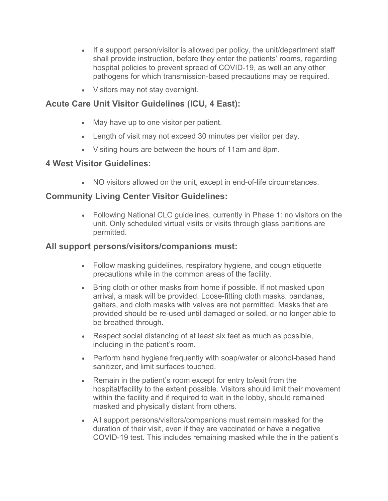- If a support person/visitor is allowed per policy, the unit/department staff shall provide instruction, before they enter the patients' rooms, regarding hospital policies to prevent spread of COVID-19, as well an any other pathogens for which transmission-based precautions may be required.
- Visitors may not stay overnight.

# **Acute Care Unit Visitor Guidelines (ICU, 4 East):**

- May have up to one visitor per patient.
- Length of visit may not exceed 30 minutes per visitor per day.
- Visiting hours are between the hours of 11am and 8pm.

### **4 West Visitor Guidelines:**

• NO visitors allowed on the unit, except in end-of-life circumstances.

## **Community Living Center Visitor Guidelines:**

• Following National CLC guidelines, currently in Phase 1: no visitors on the unit. Only scheduled virtual visits or visits through glass partitions are permitted.

### **All support persons/visitors/companions must:**

- Follow masking guidelines, respiratory hygiene, and cough etiquette precautions while in the common areas of the facility.
- Bring cloth or other masks from home if possible. If not masked upon arrival, a mask will be provided. Loose-fitting cloth masks, bandanas, gaiters, and cloth masks with valves are not permitted. Masks that are provided should be re-used until damaged or soiled, or no longer able to be breathed through.
- Respect social distancing of at least six feet as much as possible, including in the patient's room.
- Perform hand hygiene frequently with soap/water or alcohol-based hand sanitizer, and limit surfaces touched.
- Remain in the patient's room except for entry to/exit from the hospital/facility to the extent possible. Visitors should limit their movement within the facility and if required to wait in the lobby, should remained masked and physically distant from others.
- All support persons/visitors/companions must remain masked for the duration of their visit, even if they are vaccinated or have a negative COVID-19 test. This includes remaining masked while the in the patient's